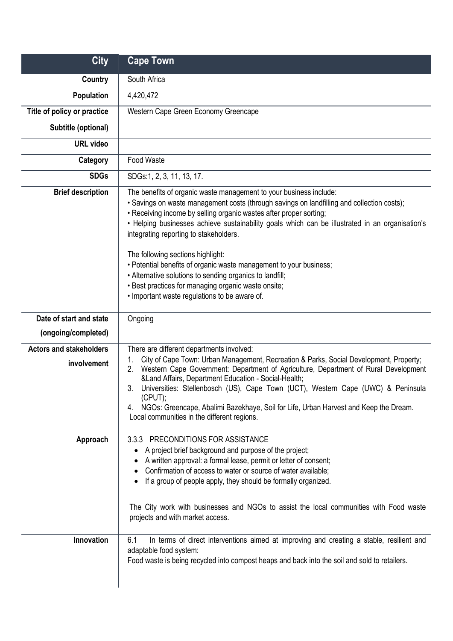| <b>City</b>                                   | <b>Cape Town</b>                                                                                                                                                                                                                                                                                                                                                                                                                                                                                                                                                                                                                                                   |
|-----------------------------------------------|--------------------------------------------------------------------------------------------------------------------------------------------------------------------------------------------------------------------------------------------------------------------------------------------------------------------------------------------------------------------------------------------------------------------------------------------------------------------------------------------------------------------------------------------------------------------------------------------------------------------------------------------------------------------|
| <b>Country</b>                                | South Africa                                                                                                                                                                                                                                                                                                                                                                                                                                                                                                                                                                                                                                                       |
| <b>Population</b>                             | 4,420,472                                                                                                                                                                                                                                                                                                                                                                                                                                                                                                                                                                                                                                                          |
| Title of policy or practice                   | Western Cape Green Economy Greencape                                                                                                                                                                                                                                                                                                                                                                                                                                                                                                                                                                                                                               |
| Subtitle (optional)                           |                                                                                                                                                                                                                                                                                                                                                                                                                                                                                                                                                                                                                                                                    |
| <b>URL video</b>                              |                                                                                                                                                                                                                                                                                                                                                                                                                                                                                                                                                                                                                                                                    |
| Category                                      | Food Waste                                                                                                                                                                                                                                                                                                                                                                                                                                                                                                                                                                                                                                                         |
| <b>SDGs</b>                                   | SDGs:1, 2, 3, 11, 13, 17.                                                                                                                                                                                                                                                                                                                                                                                                                                                                                                                                                                                                                                          |
| <b>Brief description</b>                      | The benefits of organic waste management to your business include:<br>• Savings on waste management costs (through savings on landfilling and collection costs);<br>• Receiving income by selling organic wastes after proper sorting;<br>. Helping businesses achieve sustainability goals which can be illustrated in an organisation's<br>integrating reporting to stakeholders.<br>The following sections highlight:<br>• Potential benefits of organic waste management to your business;<br>• Alternative solutions to sending organics to landfill;<br>• Best practices for managing organic waste onsite;<br>. Important waste regulations to be aware of. |
| Date of start and state                       | Ongoing                                                                                                                                                                                                                                                                                                                                                                                                                                                                                                                                                                                                                                                            |
| (ongoing/completed)                           |                                                                                                                                                                                                                                                                                                                                                                                                                                                                                                                                                                                                                                                                    |
| <b>Actors and stakeholders</b><br>involvement | There are different departments involved:<br>City of Cape Town: Urban Management, Recreation & Parks, Social Development, Property;<br>Western Cape Government: Department of Agriculture, Department of Rural Development<br>2.<br>&Land Affairs, Department Education - Social-Health;<br>Universities: Stellenbosch (US), Cape Town (UCT), Western Cape (UWC) & Peninsula<br>3.<br>(CPUT);<br>NGOs: Greencape, Abalimi Bazekhaye, Soil for Life, Urban Harvest and Keep the Dream.<br>4.<br>Local communities in the different regions.                                                                                                                         |
| Approach<br>Innovation                        | 3.3.3 PRECONDITIONS FOR ASSISTANCE<br>A project brief background and purpose of the project;<br>A written approval: a formal lease, permit or letter of consent;<br>Confirmation of access to water or source of water available;<br>If a group of people apply, they should be formally organized.<br>The City work with businesses and NGOs to assist the local communities with Food waste<br>projects and with market access.<br>In terms of direct interventions aimed at improving and creating a stable, resilient and<br>6.1                                                                                                                               |
|                                               | adaptable food system:<br>Food waste is being recycled into compost heaps and back into the soil and sold to retailers.                                                                                                                                                                                                                                                                                                                                                                                                                                                                                                                                            |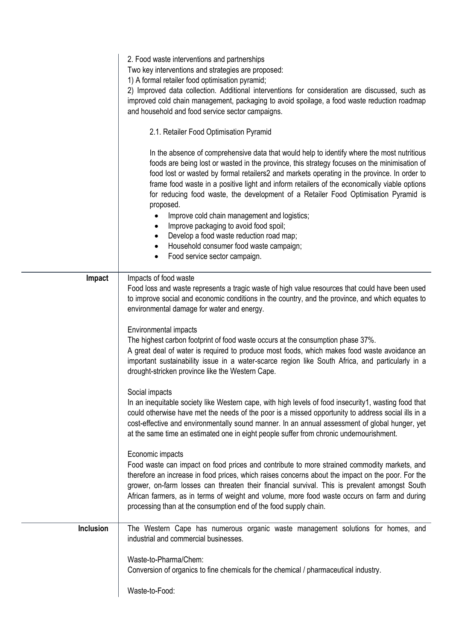|           | 2. Food waste interventions and partnerships<br>Two key interventions and strategies are proposed:<br>1) A formal retailer food optimisation pyramid;<br>2) Improved data collection. Additional interventions for consideration are discussed, such as<br>improved cold chain management, packaging to avoid spoilage, a food waste reduction roadmap<br>and household and food service sector campaigns.<br>2.1. Retailer Food Optimisation Pyramid                                                                                                                                                                                                                                                                                                                                                                                                                                                                                                                                                                                                                                                                                                                                                                                                                                                                                                                                                                                                                                                                                                                    |
|-----------|--------------------------------------------------------------------------------------------------------------------------------------------------------------------------------------------------------------------------------------------------------------------------------------------------------------------------------------------------------------------------------------------------------------------------------------------------------------------------------------------------------------------------------------------------------------------------------------------------------------------------------------------------------------------------------------------------------------------------------------------------------------------------------------------------------------------------------------------------------------------------------------------------------------------------------------------------------------------------------------------------------------------------------------------------------------------------------------------------------------------------------------------------------------------------------------------------------------------------------------------------------------------------------------------------------------------------------------------------------------------------------------------------------------------------------------------------------------------------------------------------------------------------------------------------------------------------|
|           | In the absence of comprehensive data that would help to identify where the most nutritious<br>foods are being lost or wasted in the province, this strategy focuses on the minimisation of<br>food lost or wasted by formal retailers2 and markets operating in the province. In order to<br>frame food waste in a positive light and inform retailers of the economically viable options<br>for reducing food waste, the development of a Retailer Food Optimisation Pyramid is<br>proposed.<br>Improve cold chain management and logistics;<br>٠<br>Improve packaging to avoid food spoil;<br>$\bullet$<br>Develop a food waste reduction road map;<br>Household consumer food waste campaign;<br>٠<br>Food service sector campaign.<br>٠                                                                                                                                                                                                                                                                                                                                                                                                                                                                                                                                                                                                                                                                                                                                                                                                                              |
| Impact    | Impacts of food waste<br>Food loss and waste represents a tragic waste of high value resources that could have been used<br>to improve social and economic conditions in the country, and the province, and which equates to<br>environmental damage for water and energy.<br>Environmental impacts<br>The highest carbon footprint of food waste occurs at the consumption phase 37%.<br>A great deal of water is required to produce most foods, which makes food waste avoidance an<br>important sustainability issue in a water-scarce region like South Africa, and particularly in a<br>drought-stricken province like the Western Cape.<br>Social impacts<br>In an inequitable society like Western cape, with high levels of food insecurity1, wasting food that<br>could otherwise have met the needs of the poor is a missed opportunity to address social ills in a<br>cost-effective and environmentally sound manner. In an annual assessment of global hunger, yet<br>at the same time an estimated one in eight people suffer from chronic undernourishment.<br>Economic impacts<br>Food waste can impact on food prices and contribute to more strained commodity markets, and<br>therefore an increase in food prices, which raises concerns about the impact on the poor. For the<br>grower, on-farm losses can threaten their financial survival. This is prevalent amongst South<br>African farmers, as in terms of weight and volume, more food waste occurs on farm and during<br>processing than at the consumption end of the food supply chain. |
| Inclusion | The Western Cape has numerous organic waste management solutions for homes, and<br>industrial and commercial businesses.<br>Waste-to-Pharma/Chem:                                                                                                                                                                                                                                                                                                                                                                                                                                                                                                                                                                                                                                                                                                                                                                                                                                                                                                                                                                                                                                                                                                                                                                                                                                                                                                                                                                                                                        |
|           | Conversion of organics to fine chemicals for the chemical / pharmaceutical industry.<br>Waste-to-Food:                                                                                                                                                                                                                                                                                                                                                                                                                                                                                                                                                                                                                                                                                                                                                                                                                                                                                                                                                                                                                                                                                                                                                                                                                                                                                                                                                                                                                                                                   |